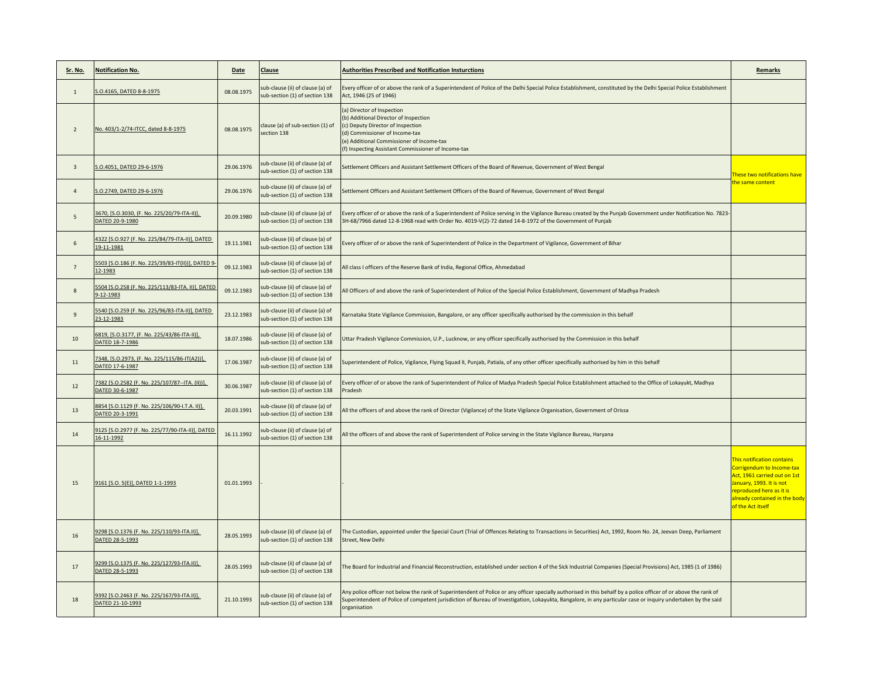| Sr. No.        | <b>Notification No.</b>                                              | Date       | Clause                                                             | <b>Authorities Prescribed and Notification Insturctions</b>                                                                                                                                                                                                                                                                                       | Remarks                                                                                                                                                                                              |
|----------------|----------------------------------------------------------------------|------------|--------------------------------------------------------------------|---------------------------------------------------------------------------------------------------------------------------------------------------------------------------------------------------------------------------------------------------------------------------------------------------------------------------------------------------|------------------------------------------------------------------------------------------------------------------------------------------------------------------------------------------------------|
| $\mathbf{1}$   | S.O.4165, DATED 8-8-1975                                             | 08.08.1975 | sub-clause (ii) of clause (a) of<br>sub-section (1) of section 138 | Every officer of or above the rank of a Superintendent of Police of the Delhi Special Police Establishment, constituted by the Delhi Special Police Establishment<br>Act, 1946 (25 of 1946)                                                                                                                                                       |                                                                                                                                                                                                      |
| $\overline{2}$ | No. 403/1-2/74-ITCC, dated 8-8-1975                                  | 08.08.1975 | clause (a) of sub-section (1) of<br>section 138                    | (a) Director of Inspection<br>(b) Additional Director of Inspection<br>(c) Deputy Director of Inspection<br>(d) Commissioner of Income-tax<br>e) Additional Commissioner of Income-tax<br>(f) Inspecting Assistant Commissioner of Income-tax                                                                                                     |                                                                                                                                                                                                      |
| 3              | S.O.4051, DATED 29-6-1976                                            | 29.06.1976 | ub-clause (ii) of clause (a) of<br>sub-section (1) of section 138  | Settlement Officers and Assistant Settlement Officers of the Board of Revenue, Government of West Bengal                                                                                                                                                                                                                                          | hese two notifications have                                                                                                                                                                          |
| $\overline{4}$ | S.O.2749, DATED 29-6-1976                                            | 29.06.1976 | sub-clause (ii) of clause (a) of<br>sub-section (1) of section 138 | Gettlement Officers and Assistant Settlement Officers of the Board of Revenue, Government of West Bengal                                                                                                                                                                                                                                          | he same content                                                                                                                                                                                      |
| 5              | 3670, [S.O.3030, (F. No. 225/20/79-ITA-II)],<br>DATED 20-9-1980      | 20.09.1980 | sub-clause (ii) of clause (a) of<br>sub-section (1) of section 138 | Every officer of or above the rank of a Superintendent of Police serving in the Vigilance Bureau created by the Punjab Government under Notification No. 7823<br>3H-68/7966 dated 12-8-1968 read with Order No. 4019-V(2)-72 dated 14-8-1972 of the Government of Punjab                                                                          |                                                                                                                                                                                                      |
| 6              | 4322 [S.O.927 (F. No. 225/84/79-ITA-II)], DATED<br>19-11-1981        | 19.11.1981 | sub-clause (ii) of clause (a) of<br>sub-section (1) of section 138 | Every officer of or above the rank of Superintendent of Police in the Department of Vigilance, Government of Bihar                                                                                                                                                                                                                                |                                                                                                                                                                                                      |
| $\overline{7}$ | 5503 [S.O.186 (F. No. 225/39/83-IT(II))], DATED 9<br>12-1983         | 09.12.1983 | sub-clause (ii) of clause (a) of<br>ub-section (1) of section 138  | All class I officers of the Reserve Bank of India, Regional Office, Ahmedabad                                                                                                                                                                                                                                                                     |                                                                                                                                                                                                      |
| 8              | 5504 [S.O.258 (F. No. 225/113/83-ITA. II)], DATED<br>9-12-1983       | 09.12.1983 | sub-clause (ii) of clause (a) of<br>sub-section (1) of section 138 | All Officers of and above the rank of Superintendent of Police of the Special Police Establishment, Government of Madhya Pradesh                                                                                                                                                                                                                  |                                                                                                                                                                                                      |
| $\mathbf{q}$   | 5540 [S.O.259 (F. No. 225/96/83-ITA-II)], DATED<br>23-12-1983        | 23.12.1983 | sub-clause (ii) of clause (a) of<br>sub-section (1) of section 138 | Karnataka State Vigilance Commission, Bangalore, or any officer specifically authorised by the commission in this behalf                                                                                                                                                                                                                          |                                                                                                                                                                                                      |
| 10             | 6819, [S.O.3177, (F. No. 225/43/86-ITA-II)],<br>DATED 18-7-1986      | 18.07.1986 | sub-clause (ii) of clause (a) of<br>sub-section (1) of section 138 | Jttar Pradesh Vigilance Commission, U.P., Lucknow, or any officer specifically authorised by the Commission in this behalf                                                                                                                                                                                                                        |                                                                                                                                                                                                      |
| 11             | 7348, [S.O.2973, (F. No. 225/115/86-IT(A2))],<br>DATED 17-6-1987     | 17.06.1987 | sub-clause (ii) of clause (a) of<br>sub-section (1) of section 138 | Superintendent of Police, Vigilance, Flying Squad II, Punjab, Patiala, of any other officer specifically authorised by him in this behalf                                                                                                                                                                                                         |                                                                                                                                                                                                      |
| 12             | 7382 [S.O.2582 (F. No. 225/107/87 -- ITA. (II))],<br>DATED 30-6-1987 | 30.06.1987 | sub-clause (ii) of clause (a) of<br>sub-section (1) of section 138 | ivery officer of or above the rank of Superintendent of Police of Madya Pradesh Special Police Establishment attached to the Office of Lokayukt, Madhya<br>Pradesh                                                                                                                                                                                |                                                                                                                                                                                                      |
| 13             | 8854 [S.O.1129 (F. No. 225/106/90-I.T.A. II)],<br>DATED 20-3-1991    | 20.03.1991 | sub-clause (ii) of clause (a) of<br>sub-section (1) of section 138 | All the officers of and above the rank of Director (Vigilance) of the State Vigilance Organisation, Government of Orissa                                                                                                                                                                                                                          |                                                                                                                                                                                                      |
| 14             | 9125 [S.O.2977 (F. No. 225/77/90-ITA-II)], DATED<br>16-11-1992       | 16.11.1992 | sub-clause (ii) of clause (a) of<br>sub-section (1) of section 138 | All the officers of and above the rank of Superintendent of Police serving in the State Vigilance Bureau, Haryana                                                                                                                                                                                                                                 |                                                                                                                                                                                                      |
| 15             | 9161 [S.O. 5(E)], DATED 1-1-1993                                     | 01.01.1993 |                                                                    |                                                                                                                                                                                                                                                                                                                                                   | This notification contains<br>Corrigendum to Income-tax<br>Act, 1961 carried out on 1st<br>anuary, 1993. It is not<br>reproduced here as it is<br>already contained in the body<br>of the Act itself |
| 16             | 9298 [S.O.1376 (F. No. 225/110/93-ITA.II)],<br>DATED 28-5-1993       | 28.05.1993 | sub-clause (ii) of clause (a) of<br>sub-section (1) of section 138 | The Custodian, appointed under the Special Court (Trial of Offences Relating to Transactions in Securities) Act, 1992, Room No. 24, Jeevan Deep, Parliament<br>Street, New Delhi                                                                                                                                                                  |                                                                                                                                                                                                      |
| 17             | 9299 [S.O.1375 (F. No. 225/127/93-ITA.II)],<br>DATED 28-5-1993       | 28.05.1993 | sub-clause (ii) of clause (a) of<br>sub-section (1) of section 138 | The Board for Industrial and Financial Reconstruction, established under section 4 of the Sick Industrial Companies (Special Provisions) Act, 1985 (1 of 1986)                                                                                                                                                                                    |                                                                                                                                                                                                      |
| 18             | 9392 [S.O.2463 (F. No. 225/167/93-ITA.II)],<br>DATED 21-10-1993      | 21.10.1993 | sub-clause (ii) of clause (a) of<br>sub-section (1) of section 138 | Any police officer not below the rank of Superintendent of Police or any officer specially authorised in this behalf by a police officer of or above the rank of<br>Superintendent of Police of competent jurisdiction of Bureau of Investigation, Lokayukta, Bangalore, in any particular case or inquiry undertaken by the said<br>organisation |                                                                                                                                                                                                      |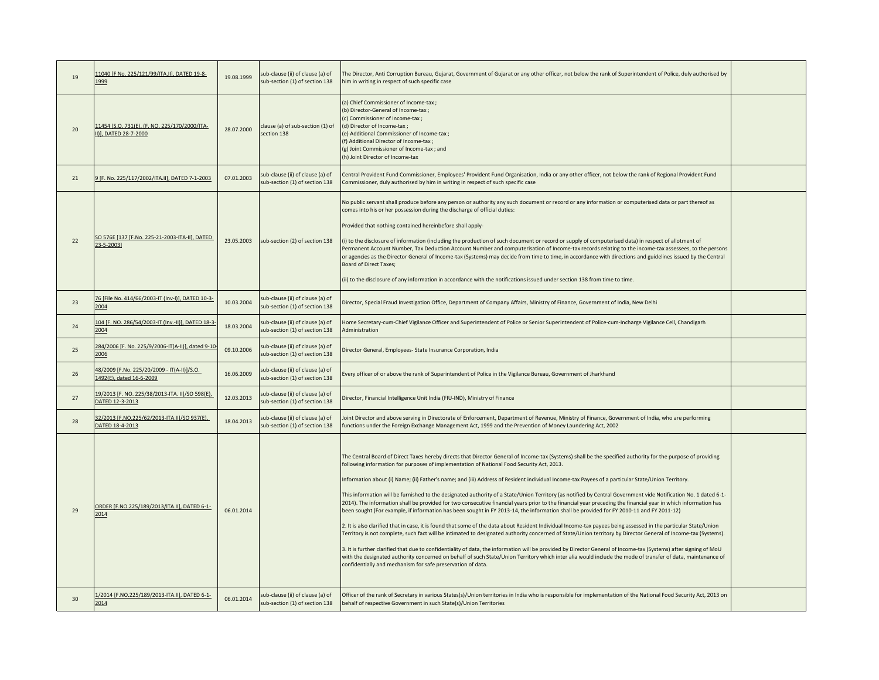| 19 | 11040 [F No. 225/121/99/ITA.II], DATED 19-8-<br>1999                    | 19.08.1999 | sub-clause (ii) of clause (a) of<br>sub-section (1) of section 138 | The Director, Anti Corruption Bureau, Gujarat, Government of Gujarat or any other officer, not below the rank of Superintendent of Police, duly authorised by<br>him in writing in respect of such specific case                                                                                                                                                                                                                                                                                                                                                                                                                                                                                                                                                                                                                                                                                                                                                                                                                                                                                                                                                                                                                                                                                                                                                                                                                                                                                                                                                                                                                         |  |
|----|-------------------------------------------------------------------------|------------|--------------------------------------------------------------------|------------------------------------------------------------------------------------------------------------------------------------------------------------------------------------------------------------------------------------------------------------------------------------------------------------------------------------------------------------------------------------------------------------------------------------------------------------------------------------------------------------------------------------------------------------------------------------------------------------------------------------------------------------------------------------------------------------------------------------------------------------------------------------------------------------------------------------------------------------------------------------------------------------------------------------------------------------------------------------------------------------------------------------------------------------------------------------------------------------------------------------------------------------------------------------------------------------------------------------------------------------------------------------------------------------------------------------------------------------------------------------------------------------------------------------------------------------------------------------------------------------------------------------------------------------------------------------------------------------------------------------------|--|
| 20 | 11454 [S.O. 731(E), (F. NO. 225/170/2000/ITA-<br>II)], DATED 28-7-2000  | 28.07.2000 | clause (a) of sub-section (1) of<br>section 138                    | (a) Chief Commissioner of Income-tax;<br>(b) Director-General of Income-tax;<br>(c) Commissioner of Income-tax;<br>(d) Director of Income-tax;<br>(e) Additional Commissioner of Income-tax;<br>f) Additional Director of Income-tax;<br>(g) Joint Commissioner of Income-tax; and<br>(h) Joint Director of Income-tax                                                                                                                                                                                                                                                                                                                                                                                                                                                                                                                                                                                                                                                                                                                                                                                                                                                                                                                                                                                                                                                                                                                                                                                                                                                                                                                   |  |
| 21 | 9 [F. No. 225/117/2002/ITA.II], DATED 7-1-2003                          | 07.01.2003 | sub-clause (ii) of clause (a) of<br>sub-section (1) of section 138 | Central Provident Fund Commissioner, Employees' Provident Fund Organisation, India or any other officer, not below the rank of Regional Provident Fund<br>Commissioner, duly authorised by him in writing in respect of such specific case                                                                                                                                                                                                                                                                                                                                                                                                                                                                                                                                                                                                                                                                                                                                                                                                                                                                                                                                                                                                                                                                                                                                                                                                                                                                                                                                                                                               |  |
| 22 | SO 576E [137 [F.No. 225-21-2003-ITA-II], DATED<br>23-5-2003]            | 23.05.2003 | sub-section (2) of section 138                                     | No public servant shall produce before any person or authority any such document or record or any information or computerised data or part thereof as<br>comes into his or her possession during the discharge of official duties:<br>Provided that nothing contained hereinbefore shall apply-<br>(i) to the disclosure of information (including the production of such document or record or supply of computerised data) in respect of allotment of<br>Permanent Account Number, Tax Deduction Account Number and computerisation of Income-tax records relating to the income-tax assessees, to the persons<br>or agencies as the Director General of Income-tax (Systems) may decide from time to time, in accordance with directions and guidelines issued by the Central<br><b>Board of Direct Taxes;</b><br>(ii) to the disclosure of any information in accordance with the notifications issued under section 138 from time to time.                                                                                                                                                                                                                                                                                                                                                                                                                                                                                                                                                                                                                                                                                          |  |
| 23 | 76 [File No. 414/66/2003-IT (Inv-I)], DATED 10-3-<br>2004               | 10.03.2004 | sub-clause (ii) of clause (a) of<br>sub-section (1) of section 138 | Director, Special Fraud Investigation Office, Department of Company Affairs, Ministry of Finance, Government of India, New Delhi                                                                                                                                                                                                                                                                                                                                                                                                                                                                                                                                                                                                                                                                                                                                                                                                                                                                                                                                                                                                                                                                                                                                                                                                                                                                                                                                                                                                                                                                                                         |  |
| 24 | 104 [F. NO. 286/54/2003-IT (Inv.-II)], DATED 18-3-<br>2004              | 18.03.2004 | sub-clause (ii) of clause (a) of<br>sub-section (1) of section 138 | Home Secretary-cum-Chief Vigilance Officer and Superintendent of Police or Senior Superintendent of Police-cum-Incharge Vigilance Cell, Chandigarh<br>Administration                                                                                                                                                                                                                                                                                                                                                                                                                                                                                                                                                                                                                                                                                                                                                                                                                                                                                                                                                                                                                                                                                                                                                                                                                                                                                                                                                                                                                                                                     |  |
| 25 | 284/2006 [F. No. 225/9/2006-IT(A-II)], dated 9-10-<br>2006              | 09.10.2006 | sub-clause (ii) of clause (a) of<br>sub-section (1) of section 138 | Director General, Employees- State Insurance Corporation, India                                                                                                                                                                                                                                                                                                                                                                                                                                                                                                                                                                                                                                                                                                                                                                                                                                                                                                                                                                                                                                                                                                                                                                                                                                                                                                                                                                                                                                                                                                                                                                          |  |
| 26 | 48/2009 [F.No. 225/20/2009 - IT(A-II)]/S.O.<br>1492(E), dated 16-6-2009 | 16.06.2009 | sub-clause (ii) of clause (a) of<br>sub-section (1) of section 138 | Every officer of or above the rank of Superintendent of Police in the Vigilance Bureau, Government of Jharkhand                                                                                                                                                                                                                                                                                                                                                                                                                                                                                                                                                                                                                                                                                                                                                                                                                                                                                                                                                                                                                                                                                                                                                                                                                                                                                                                                                                                                                                                                                                                          |  |
| 27 | 19/2013 [F. NO. 225/38/2013-ITA. II]/SO 598(E),<br>DATED 12-3-2013      | 12.03.2013 | sub-clause (ii) of clause (a) of<br>sub-section (1) of section 138 | Director, Financial Intelligence Unit India (FIU-IND), Ministry of Finance                                                                                                                                                                                                                                                                                                                                                                                                                                                                                                                                                                                                                                                                                                                                                                                                                                                                                                                                                                                                                                                                                                                                                                                                                                                                                                                                                                                                                                                                                                                                                               |  |
| 28 | 32/2013 [F.NO.225/62/2013-ITA.II]/SO 937(E),<br>DATED 18-4-2013         | 18.04.2013 | sub-clause (ii) of clause (a) of<br>sub-section (1) of section 138 | Joint Director and above serving in Directorate of Enforcement, Department of Revenue, Ministry of Finance, Government of India, who are performing<br>functions under the Foreign Exchange Management Act, 1999 and the Prevention of Money Laundering Act, 2002                                                                                                                                                                                                                                                                                                                                                                                                                                                                                                                                                                                                                                                                                                                                                                                                                                                                                                                                                                                                                                                                                                                                                                                                                                                                                                                                                                        |  |
| 29 | ORDER [F.NO.225/189/2013/ITA.II], DATED 6-1-<br>2014                    | 06.01.2014 |                                                                    | The Central Board of Direct Taxes hereby directs that Director General of Income-tax (Systems) shall be the specified authority for the purpose of providing<br>following information for purposes of implementation of National Food Security Act, 2013.<br>Information about (i) Name; (ii) Father's name; and (iii) Address of Resident individual Income-tax Payees of a particular State/Union Territory.<br>This information will be furnished to the designated authority of a State/Union Territory (as notified by Central Government vide Notification No. 1 dated 6-1-<br>2014). The information shall be provided for two consecutive financial years prior to the financial year preceding the financial year in which information has<br>been sought (For example, if information has been sought in FY 2013-14, the information shall be provided for FY 2010-11 and FY 2011-12)<br>2. It is also clarified that in case, it is found that some of the data about Resident Individual Income-tax payees being assessed in the particular State/Union<br>Territory is not complete, such fact will be intimated to designated authority concerned of State/Union territory by Director General of Income-tax (Systems).<br>3. It is further clarified that due to confidentiality of data, the information will be provided by Director General of Income-tax (Systems) after signing of MoU<br>with the designated authority concerned on behalf of such State/Union Territory which inter alia would include the mode of transfer of data, maintenance of<br>confidentially and mechanism for safe preservation of data. |  |
| 30 | 1/2014 [F.NO.225/189/2013-ITA.II], DATED 6-1-<br>2014                   | 06.01.2014 | sub-clause (ii) of clause (a) of<br>sub-section (1) of section 138 | Officer of the rank of Secretary in various States(s)/Union territories in India who is responsible for implementation of the National Food Security Act, 2013 on<br>behalf of respective Government in such State(s)/Union Territories                                                                                                                                                                                                                                                                                                                                                                                                                                                                                                                                                                                                                                                                                                                                                                                                                                                                                                                                                                                                                                                                                                                                                                                                                                                                                                                                                                                                  |  |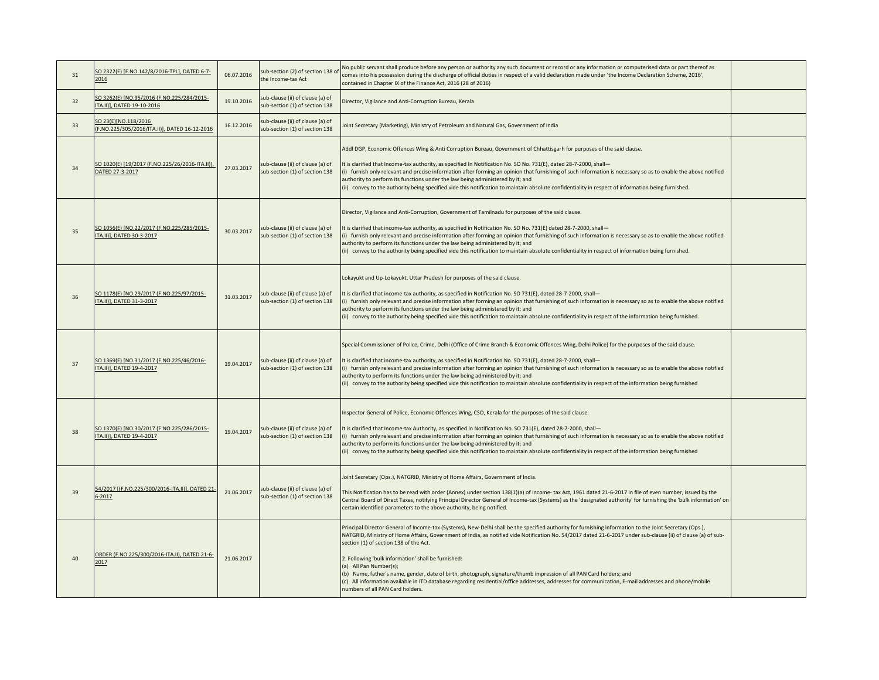| 31 | SO 2322(E) [F.NO.142/8/2016-TPL], DATED 6-7-<br>2016                     | 06.07.2016 | sub-section (2) of section 138 of<br>the Income-tax Act            | No public servant shall produce before any person or authority any such document or record or any information or computerised data or part thereof as<br>comes into his possession during the discharge of official duties in respect of a valid declaration made under 'the Income Declaration Scheme, 2016',<br>contained in Chapter IX of the Finance Act, 2016 (28 of 2016)                                                                                                                                                                                                                                                                                                                                                                                         |  |
|----|--------------------------------------------------------------------------|------------|--------------------------------------------------------------------|-------------------------------------------------------------------------------------------------------------------------------------------------------------------------------------------------------------------------------------------------------------------------------------------------------------------------------------------------------------------------------------------------------------------------------------------------------------------------------------------------------------------------------------------------------------------------------------------------------------------------------------------------------------------------------------------------------------------------------------------------------------------------|--|
| 32 | SO 3262(E) [NO.95/2016 (F.NO.225/284/2015-<br>ITA.II)], DATED 19-10-2016 | 19.10.2016 | sub-clause (ii) of clause (a) of<br>sub-section (1) of section 138 | Director, Vigilance and Anti-Corruption Bureau, Kerala                                                                                                                                                                                                                                                                                                                                                                                                                                                                                                                                                                                                                                                                                                                  |  |
| 33 | SO 23(E)[NO.118/2016<br>(F.NO.225/305/2016/ITA.II)], DATED 16-12-2016    | 16.12.2016 | sub-clause (ii) of clause (a) of<br>sub-section (1) of section 138 | Joint Secretary (Marketing), Ministry of Petroleum and Natural Gas, Government of India                                                                                                                                                                                                                                                                                                                                                                                                                                                                                                                                                                                                                                                                                 |  |
| 34 | SO 1020(E) [19/2017 (F.NO.225/26/2016-ITA.II)],<br>DATED 27-3-2017       | 27.03.2017 | sub-clause (ii) of clause (a) of<br>sub-section (1) of section 138 | Addl DGP, Economic Offences Wing & Anti Corruption Bureau, Government of Chhattisgarh for purposes of the said clause.<br>It is clarified that Income-tax authority, as specified In Notification No. SO No. 731(E), dated 28-7-2000, shall-<br>(i) furnish only relevant and precise information after forming an opinion that furnishing of such Information is necessary so as to enable the above notified<br>authority to perform its functions under the law being administered by it; and<br>(ii) convey to the authority being specified vide this notification to maintain absolute confidentiality in respect of information being furnished.                                                                                                                 |  |
| 35 | SO 1056(E) [NO.22/2017 (F.NO.225/285/2015-<br>ITA.II)], DATED 30-3-2017  | 30.03.2017 | sub-clause (ii) of clause (a) of<br>sub-section (1) of section 138 | Director, Vigilance and Anti-Corruption, Government of Tamilnadu for purposes of the said clause.<br>It is clarified that income-tax authority, as specified in Notification No. SO No. 731(E) dated 28-7-2000, shall-<br>(i) furnish only relevant and precise information after forming an opinion that furnishing of such information is necessary so as to enable the above notified<br>authority to perform its functions under the law being administered by it; and<br>(ii) convey to the authority being specified vide this notification to maintain absolute confidentiality in respect of information being furnished.                                                                                                                                       |  |
| 36 | SO 1178(E) [NO.29/2017 (F.NO.225/97/2015-<br>ITA.II)], DATED 31-3-2017   | 31.03.2017 | sub-clause (ii) of clause (a) of<br>sub-section (1) of section 138 | Lokayukt and Up-Lokayukt, Uttar Pradesh for purposes of the said clause.<br>It is clarified that income-tax authority, as specified in Notification No. SO 731(E), dated 28-7-2000, shall-<br>(i) furnish only relevant and precise information after forming an opinion that furnishing of such information is necessary so as to enable the above notified<br>authority to perform its functions under the law being administered by it; and<br>(ii) convey to the authority being specified vide this notification to maintain absolute confidentiality in respect of the information being furnished.                                                                                                                                                               |  |
| 37 | SO 1369(E) [NO.31/2017 (F.NO.225/46/2016-<br>ITA.II)], DATED 19-4-2017   | 19.04.2017 | sub-clause (ii) of clause (a) of<br>sub-section (1) of section 138 | Special Commissioner of Police, Crime, Delhi (Office of Crime Branch & Economic Offences Wing, Delhi Police) for the purposes of the said clause.<br>It is clarified that income-tax authority, as specified in Notification No. SO 731(E), dated 28-7-2000, shall-<br>(i) furnish only relevant and precise information after forming an opinion that furnishing of such information is necessary so as to enable the above notified<br>authority to perform its functions under the law being administered by it; and<br>(ii) convey to the authority being specified vide this notification to maintain absolute confidentiality in respect of the information being furnished                                                                                       |  |
| 38 | SO 1370(E) [NO.30/2017 (F.NO.225/286/2015-<br>ITA.II)], DATED 19-4-2017  | 19.04.2017 | sub-clause (ii) of clause (a) of<br>sub-section (1) of section 138 | Inspector General of Police, Economic Offences Wing, CSO, Kerala for the purposes of the said clause.<br>It is clarified that Income-tax Authority, as specified in Notification No. SO 731(E), dated 28-7-2000, shall-<br>(i) furnish only relevant and precise information after forming an opinion that furnishing of such information is necessary so as to enable the above notified<br>authority to perform its functions under the law being administered by it; and<br>(ii) convey to the authority being specified vide this notification to maintain absolute confidentiality in respect of the information being furnished                                                                                                                                   |  |
| 39 | 54/2017 [(F.NO.225/300/2016-ITA.II)], DATED 21<br>$6 - 2017$             | 21.06.2017 | sub-clause (ii) of clause (a) of<br>sub-section (1) of section 138 | Joint Secretary (Ops.), NATGRID, Ministry of Home Affairs, Government of India.<br>This Notification has to be read with order (Annex) under section 138(1)(a) of Income-tax Act, 1961 dated 21-6-2017 in file of even number, issued by the<br>Central Board of Direct Taxes, notifying Principal Director General of Income-tax (Systems) as the 'designated authority' for furnishing the 'bulk information' on<br>certain identified parameters to the above authority, being notified.                                                                                                                                                                                                                                                                             |  |
| 40 | ORDER (F.NO.225/300/2016-ITA.II), DATED 21-6-<br>2017                    | 21.06.2017 |                                                                    | Principal Director General of Income-tax (Systems), New-Delhi shall be the specified authority for furnishing information to the Joint Secretary (Ops.),<br>NATGRID, Ministry of Home Affairs, Government of India, as notified vide Notification No. 54/2017 dated 21-6-2017 under sub-clause (ii) of clause (a) of sub-<br>section (1) of section 138 of the Act.<br>2. Following 'bulk information' shall be furnished:<br>(a) All Pan Number(s);<br>(b) Name, father's name, gender, date of birth, photograph, signature/thumb impression of all PAN Card holders; and<br>(c) All information available in ITD database regarding residential/office addresses, addresses for communication, E-mail addresses and phone/mobile<br>numbers of all PAN Card holders. |  |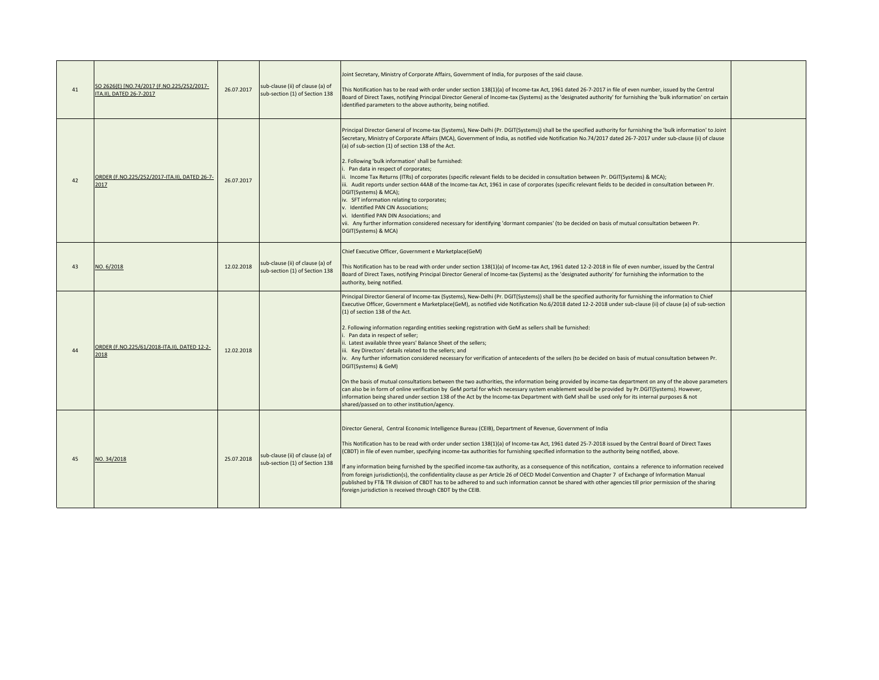| 41 | SO 2626(E) [NO.74/2017 (F.NO.225/252/2017-<br>ITA.II), DATED 26-7-2017 | 26.07.2017 | sub-clause (ii) of clause (a) of<br>sub-section (1) of Section 138 | Joint Secretary, Ministry of Corporate Affairs, Government of India, for purposes of the said clause.<br>This Notification has to be read with order under section 138(1)(a) of Income-tax Act, 1961 dated 26-7-2017 in file of even number, issued by the Central<br>Board of Direct Taxes, notifying Principal Director General of Income-tax (Systems) as the 'designated authority' for furnishing the 'bulk information' on certain<br>identified parameters to the above authority, being notified.                                                                                                                                                                                                                                                                                                                                                                                                                                                                                                                                                                                                                                                                                                                                                                                                                                     |  |
|----|------------------------------------------------------------------------|------------|--------------------------------------------------------------------|-----------------------------------------------------------------------------------------------------------------------------------------------------------------------------------------------------------------------------------------------------------------------------------------------------------------------------------------------------------------------------------------------------------------------------------------------------------------------------------------------------------------------------------------------------------------------------------------------------------------------------------------------------------------------------------------------------------------------------------------------------------------------------------------------------------------------------------------------------------------------------------------------------------------------------------------------------------------------------------------------------------------------------------------------------------------------------------------------------------------------------------------------------------------------------------------------------------------------------------------------------------------------------------------------------------------------------------------------|--|
| 42 | ORDER (F.NO.225/252/2017-ITA.II), DATED 26-7-<br>2017                  | 26.07.2017 |                                                                    | Principal Director General of Income-tax (Systems), New-Delhi (Pr. DGIT(Systems)) shall be the specified authority for furnishing the 'bulk information' to Joint<br>Secretary, Ministry of Corporate Affairs (MCA), Government of India, as notified vide Notification No.74/2017 dated 26-7-2017 under sub-clause (ii) of clause<br>(a) of sub-section (1) of section 138 of the Act.<br>2. Following 'bulk information' shall be furnished:<br>Pan data in respect of corporates;<br>. Income Tax Returns (ITRs) of corporates (specific relevant fields to be decided in consultation between Pr. DGIT(Systems) & MCA);<br>iii. Audit reports under section 44AB of the Income-tax Act, 1961 in case of corporates (specific relevant fields to be decided in consultation between Pr.<br>DGIT(Systems) & MCA);<br>iv. SFT information relating to corporates;<br>v. Identified PAN CIN Associations;<br>vi. Identified PAN DIN Associations; and<br>vii. Any further information considered necessary for identifying 'dormant companies' (to be decided on basis of mutual consultation between Pr.<br>DGIT(Systems) & MCA)                                                                                                                                                                                                             |  |
| 43 | NO. 6/2018                                                             | 12.02.2018 | sub-clause (ii) of clause (a) of<br>sub-section (1) of Section 138 | Chief Executive Officer, Government e Marketplace(GeM)<br>This Notification has to be read with order under section 138(1)(a) of Income-tax Act, 1961 dated 12-2-2018 in file of even number, issued by the Central<br>Board of Direct Taxes, notifying Principal Director General of Income-tax (Systems) as the 'designated authority' for furnishing the information to the<br>authority, being notified.                                                                                                                                                                                                                                                                                                                                                                                                                                                                                                                                                                                                                                                                                                                                                                                                                                                                                                                                  |  |
| 44 | ORDER (F.NO.225/61/2018-ITA.II), DATED 12-2-<br>2018                   | 12.02.2018 |                                                                    | Principal Director General of Income-tax (Systems), New-Delhi (Pr. DGIT(Systems)) shall be the specified authority for furnishing the information to Chief<br>Executive Officer, Government e Marketplace(GeM), as notified vide Notification No.6/2018 dated 12-2-2018 under sub-clause (ii) of clause (a) of sub-section<br>(1) of section 138 of the Act.<br>2. Following information regarding entities seeking registration with GeM as sellers shall be furnished:<br>Pan data in respect of seller;<br>. Latest available three years' Balance Sheet of the sellers;<br>iii. Key Directors' details related to the sellers; and<br>iv. Any further information considered necessary for verification of antecedents of the sellers (to be decided on basis of mutual consultation between Pr.<br>DGIT(Systems) & GeM)<br>On the basis of mutual consultations between the two authorities, the information being provided by income-tax department on any of the above parameters<br>can also be in form of online verification by GeM portal for which necessary system enablement would be provided by Pr.DGIT(Systems). However,<br>information being shared under section 138 of the Act by the Income-tax Department with GeM shall be used only for its internal purposes & not<br>shared/passed on to other institution/agency. |  |
| 45 | NO. 34/2018                                                            | 25.07.2018 | sub-clause (ii) of clause (a) of<br>sub-section (1) of Section 138 | Director General, Central Economic Intelligence Bureau (CEIB), Department of Revenue, Government of India<br>This Notification has to be read with order under section 138(1)(a) of Income-tax Act, 1961 dated 25-7-2018 issued by the Central Board of Direct Taxes<br>(CBDT) in file of even number, specifying income-tax authorities for furnishing specified information to the authority being notified, above.<br>If any information being furnished by the specified income-tax authority, as a consequence of this notification, contains a reference to information received<br>from foreign jurisdiction(s), the confidentiality clause as per Article 26 of OECD Model Convention and Chapter 7 of Exchange of Information Manual<br>published by FT& TR division of CBDT has to be adhered to and such information cannot be shared with other agencies till prior permission of the sharing<br>foreign jurisdiction is received through CBDT by the CEIB.                                                                                                                                                                                                                                                                                                                                                                       |  |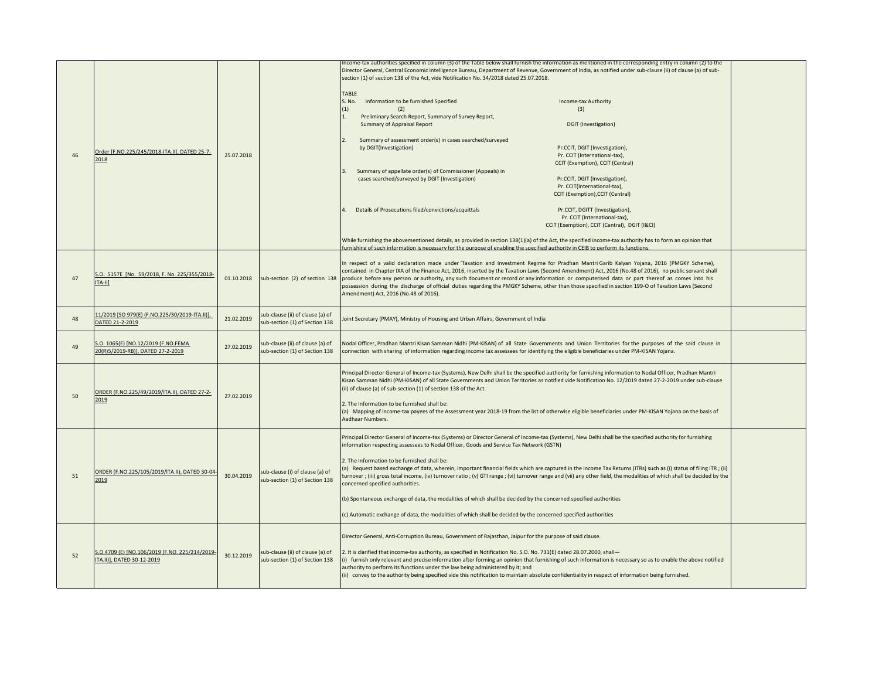| 46 | Order [F.NO.225/245/2018-ITA.II], DATED 25-7-<br>2018                        | 25.07.2018 |                                                                    | Income-tax authorities specified in column (3) of the Table below shall furnish the information as mentioned in the corresponding entry in column (2) to the<br>Director General, Central Economic Intelligence Bureau, Department of Revenue, Government of India, as notified under sub-clause (ii) of clause (a) of sub-<br>section (1) of section 138 of the Act, vide Notification No. 34/2018 dated 25.07.2018.<br><b>TABLE</b><br>S. No.<br>Information to be furnished Specified<br>Income-tax Authority<br>(1)<br>(3)<br>Preliminary Search Report, Summary of Survey Report,<br>$\overline{1}$<br>Summary of Appraisal Report<br>DGIT (Investigation)<br>$\overline{2}$<br>Summary of assessment order(s) in cases searched/surveyed<br>by DGIT(Investigation)<br>Pr.CCIT, DGIT (Investigation),<br>Pr. CCIT (International-tax),<br>CCIT (Exemption), CCIT (Central)<br>Summary of appellate order(s) of Commissioner (Appeals) in<br>$\overline{3}$ .<br>cases searched/surveyed by DGIT (Investigation)<br>Pr.CCIT, DGIT (Investigation),<br>Pr. CCIT(International-tax),<br>CCIT (Exemption), CCIT (Central)<br>Details of Prosecutions filed/convictions/acquittals<br>Pr.CCIT, DGITT (Investigation),<br>Pr. CCIT (International-tax),<br>CCIT (Exemption), CCIT (Central), DGIT (I&CI) |  |
|----|------------------------------------------------------------------------------|------------|--------------------------------------------------------------------|---------------------------------------------------------------------------------------------------------------------------------------------------------------------------------------------------------------------------------------------------------------------------------------------------------------------------------------------------------------------------------------------------------------------------------------------------------------------------------------------------------------------------------------------------------------------------------------------------------------------------------------------------------------------------------------------------------------------------------------------------------------------------------------------------------------------------------------------------------------------------------------------------------------------------------------------------------------------------------------------------------------------------------------------------------------------------------------------------------------------------------------------------------------------------------------------------------------------------------------------------------------------------------------------------------|--|
|    |                                                                              |            |                                                                    | While furnishing the abovementioned details, as provided in section 138(1)(a) of the Act, the specified income-tax authority has to form an opinion that<br>urnishing of such information is necessary for the nurnose of enabling the snecified authority in CEIB to nerform its functions                                                                                                                                                                                                                                                                                                                                                                                                                                                                                                                                                                                                                                                                                                                                                                                                                                                                                                                                                                                                             |  |
| 47 | S.O. 5157E [No. 59/2018, F. No. 225/355/2018-<br>$[TA-H]$                    | 01.10.2018 | sub-section (2) of section 138                                     | In respect of a valid declaration made under 'Taxation and Investment Regime for Pradhan Mantri Garib Kalyan Yojana, 2016 (PMGKY Scheme),<br>contained in Chapter IXA of the Finance Act, 2016, inserted by the Taxation Laws (Second Amendment) Act, 2016 (No.48 of 2016), no public servant shall<br>produce before any person or authority, any such document or record or any information or computerised data or part thereof as comes into his<br>possession during the discharge of official duties regarding the PMGKY Scheme, other than those specified in section 199-O of Taxation Laws (Second<br>Amendment) Act, 2016 (No.48 of 2016).                                                                                                                                                                                                                                                                                                                                                                                                                                                                                                                                                                                                                                                    |  |
| 48 | 11/2019 [SO 979(E) (F.NO.225/30/2019-ITA.II)],<br>DATED 21-2-2019            | 21.02.2019 | sub-clause (ii) of clause (a) of<br>sub-section (1) of Section 138 | Joint Secretary (PMAY), Ministry of Housing and Urban Affairs, Government of India                                                                                                                                                                                                                                                                                                                                                                                                                                                                                                                                                                                                                                                                                                                                                                                                                                                                                                                                                                                                                                                                                                                                                                                                                      |  |
| 49 | S.O. 1065(E) [NO.12/2019 (F.NO.FEMA<br>20(R)5/2019-RB)], DATED 27-2-2019     | 27.02.2019 | sub-clause (ii) of clause (a) of<br>sub-section (1) of Section 138 | Nodal Officer, Pradhan Mantri Kisan Samman Nidhi (PM-KISAN) of all State Governments and Union Territories for the purposes of the said clause in<br>connection with sharing of information regarding income tax assessees for identifying the eligible beneficiaries under PM-KISAN Yojana.                                                                                                                                                                                                                                                                                                                                                                                                                                                                                                                                                                                                                                                                                                                                                                                                                                                                                                                                                                                                            |  |
| 50 | ORDER (F.NO.225/49/2019/ITA.II), DATED 27-2-<br>2019                         | 27.02.2019 |                                                                    | Principal Director General of Income-tax (Systems), New Delhi shall be the specified authority for furnishing information to Nodal Officer, Pradhan Mantri<br>Kisan Samman Nidhi (PM-KISAN) of all State Governments and Union Territories as notified vide Notification No. 12/2019 dated 27-2-2019 under sub-clause<br>(ii) of clause (a) of sub-section (1) of section 138 of the Act.<br>2. The Information to be furnished shall be:<br>(a) Mapping of Income-tax payees of the Assessment year 2018-19 from the list of otherwise eligible beneficiaries under PM-KISAN Yojana on the basis of<br>Aadhaar Numbers.                                                                                                                                                                                                                                                                                                                                                                                                                                                                                                                                                                                                                                                                                |  |
| 51 | ORDER (F.NO.225/105/2019/ITA.II), DATED 30-04-<br>2019                       | 30.04.2019 | sub-clause (i) of clause (a) of<br>sub-section (1) of Section 138  | Principal Director General of Income-tax (Systems) or Director General of Income-tax (Systems), New Delhi shall be the specified authority for furnishing<br>information respecting assessees to Nodal Officer, Goods and Service Tax Network (GSTN)<br>2. The Information to be furnished shall be:<br>(a) Request based exchange of data, wherein, important financial fields which are captured in the Income Tax Returns (ITRs) such as (i) status of filing ITR; (ii)<br>turnover ; (iii) gross total income, (iv) turnover ratio ; (v) GTI range ; (vi) turnover range and (vii) any other field, the modalities of which shall be decided by the<br>concerned specified authorities.<br>(b) Spontaneous exchange of data, the modalities of which shall be decided by the concerned specified authorities<br>(c) Automatic exchange of data, the modalities of which shall be decided by the concerned specified authorities                                                                                                                                                                                                                                                                                                                                                                     |  |
| 52 | S.O.4709 (E) [NO.106/2019 [F.NO. 225/214/2019-<br>ITA.II)], DATED 30-12-2019 | 30.12.2019 | sub-clause (ii) of clause (a) of<br>sub-section (1) of Section 138 | Director General, Anti-Corruption Bureau, Government of Rajasthan, Jaipur for the purpose of said clause.<br>2. It is clarified that income-tax authority, as specified in Notification No. S.O. No. 731(E) dated 28.07.2000, shall-<br>(i) furnish only relevant and precise information after forming an opinion that furnishing of such information is necessary so as to enable the above notified<br>authority to perform its functions under the law being administered by it; and<br>(ii) convey to the authority being specified vide this notification to maintain absolute confidentiality in respect of information being furnished.                                                                                                                                                                                                                                                                                                                                                                                                                                                                                                                                                                                                                                                         |  |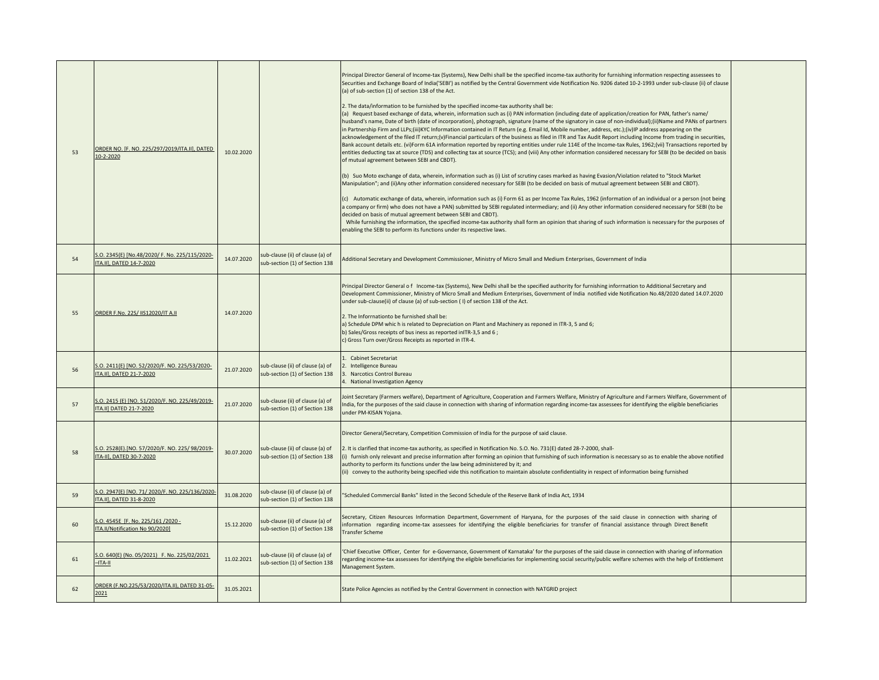| 53 | ORDER NO. [F. NO. 225/297/2019/ITA.II], DATED<br>10-2-2020                 | 10.02.2020 |                                                                    | Principal Director General of Income-tax (Systems), New Delhi shall be the specified income-tax authority for furnishing information respecting assessees to<br>Securities and Exchange Board of India('SEBI') as notified by the Central Government vide Notification No. 9206 dated 10-2-1993 under sub-clause (ii) of clause<br>(a) of sub-section (1) of section 138 of the Act.<br>2. The data/information to be furnished by the specified income-tax authority shall be:<br>(a) Request based exchange of data, wherein, information such as (i) PAN information (including date of application/creation for PAN, father's name/<br>husband's name, Date of birth (date of incorporation), photograph, signature (name of the signatory in case of non-individual);(ii)Name and PANs of partners<br>in Partnership Firm and LLPs;(iii)KYC Information contained in IT Return (e.g. Email Id, Mobile number, address, etc.);(iv)IP address appearing on the<br>acknowledgement of the filed IT return;(v)Financial particulars of the business as filed in ITR and Tax Audit Report including Income from trading in securities,<br>Bank account details etc. (vi)Form 61A information reported by reporting entities under rule 114E of the Income-tax Rules, 1962;(vii) Transactions reported by<br>entities deducting tax at source (TDS) and collecting tax at source (TCS); and (viii) Any other information considered necessary for SEBI (to be decided on basis<br>of mutual agreement between SEBI and CBDT).<br>(b) Suo Moto exchange of data, wherein, information such as (i) List of scrutiny cases marked as having Evasion/Violation related to "Stock Market<br>Manipulation"; and (ii)Any other information considered necessary for SEBI (to be decided on basis of mutual agreement between SEBI and CBDT).<br>(c) Automatic exchange of data, wherein, information such as (i) Form 61 as per Income Tax Rules, 1962 (information of an individual or a person (not being<br>a company or firm) who does not have a PAN) submitted by SEBI regulated intermediary; and (ii) Any other information considered necessary for SEBI (to be<br>decided on basis of mutual agreement between SEBI and CBDT).<br>While furnishing the information, the specified income-tax authority shall form an opinion that sharing of such information is necessary for the purposes of<br>enabling the SEBI to perform its functions under its respective laws. |  |
|----|----------------------------------------------------------------------------|------------|--------------------------------------------------------------------|---------------------------------------------------------------------------------------------------------------------------------------------------------------------------------------------------------------------------------------------------------------------------------------------------------------------------------------------------------------------------------------------------------------------------------------------------------------------------------------------------------------------------------------------------------------------------------------------------------------------------------------------------------------------------------------------------------------------------------------------------------------------------------------------------------------------------------------------------------------------------------------------------------------------------------------------------------------------------------------------------------------------------------------------------------------------------------------------------------------------------------------------------------------------------------------------------------------------------------------------------------------------------------------------------------------------------------------------------------------------------------------------------------------------------------------------------------------------------------------------------------------------------------------------------------------------------------------------------------------------------------------------------------------------------------------------------------------------------------------------------------------------------------------------------------------------------------------------------------------------------------------------------------------------------------------------------------------------------------------------------------------------------------------------------------------------------------------------------------------------------------------------------------------------------------------------------------------------------------------------------------------------------------------------------------------------------------------------------------------------------------------------------------------------------------------------------------------------------|--|
| 54 | S.O. 2345(E) [No.48/2020/ F. No. 225/115/2020-<br>ITA.II], DATED 14-7-2020 | 14.07.2020 | sub-clause (ii) of clause (a) of<br>sub-section (1) of Section 138 | Additional Secretary and Development Commissioner, Ministry of Micro Small and Medium Enterprises, Government of India                                                                                                                                                                                                                                                                                                                                                                                                                                                                                                                                                                                                                                                                                                                                                                                                                                                                                                                                                                                                                                                                                                                                                                                                                                                                                                                                                                                                                                                                                                                                                                                                                                                                                                                                                                                                                                                                                                                                                                                                                                                                                                                                                                                                                                                                                                                                                    |  |
| 55 | ORDER F.No. 22S/ IIS12020/IT A.II                                          | 14.07.2020 |                                                                    | Principal Director General of Income-tax (Systems), New Delhi shall be the specified authority for furnishing inforrnation to Additional Secretary and<br>Development Commissioner, Ministry of Micro Small and Medium Enterprises, Government of India notified vide Notification No.48/2020 dated 14.07.2020<br>under sub-cJause(ii) of clause (a) of sub-section (I) of section 138 of the Act.<br>2. The Inforrnationto be furnished shall be:<br>a) Schedule DPM which is related to Depreciation on Plant and Machinery as reponed in ITR-3, 5 and 6;<br>b) Sales/Gross receipts of bus iness as reported inITR-3,5 and 6;<br>c) Gross Turn over/Gross Receipts as reported in ITR-4.                                                                                                                                                                                                                                                                                                                                                                                                                                                                                                                                                                                                                                                                                                                                                                                                                                                                                                                                                                                                                                                                                                                                                                                                                                                                                                                                                                                                                                                                                                                                                                                                                                                                                                                                                                               |  |
| 56 | S.O. 2411(E) [NO. 52/2020/F. NO. 225/53/2020-<br>ITA.II], DATED 21-7-2020  | 21.07.2020 | sub-clause (ii) of clause (a) of<br>sub-section (1) of Section 138 | 1. Cabinet Secretariat<br>2. Intelligence Bureau<br>3. Narcotics Control Bureau<br>4. National Investigation Agency                                                                                                                                                                                                                                                                                                                                                                                                                                                                                                                                                                                                                                                                                                                                                                                                                                                                                                                                                                                                                                                                                                                                                                                                                                                                                                                                                                                                                                                                                                                                                                                                                                                                                                                                                                                                                                                                                                                                                                                                                                                                                                                                                                                                                                                                                                                                                       |  |
| 57 | S.O. 2415 (E) [NO. 51/2020/F. NO. 225/49/2019-<br>ITA.II] DATED 21-7-2020  | 21.07.2020 | sub-clause (ii) of clause (a) of<br>sub-section (1) of Section 138 | Joint Secretary (Farmers welfare), Department of Agriculture, Cooperation and Farmers Welfare, Ministry of Agriculture and Farmers Welfare, Government of<br>India, for the purposes of the said clause in connection with sharing of information regarding income-tax assessees for identifying the eligible beneficiaries<br>under PM-KISAN Yojana.                                                                                                                                                                                                                                                                                                                                                                                                                                                                                                                                                                                                                                                                                                                                                                                                                                                                                                                                                                                                                                                                                                                                                                                                                                                                                                                                                                                                                                                                                                                                                                                                                                                                                                                                                                                                                                                                                                                                                                                                                                                                                                                     |  |
| 58 | S.O. 2528(E).[NO. 57/2020/F. NO. 225/98/2019-<br>ITA-II], DATED 30-7-2020  | 30.07.2020 | sub-clause (ii) of clause (a) of<br>sub-section (1) of Section 138 | Director General/Secretary, Competition Commission of India for the purpose of said clause.<br>2. It is clarified that income-tax authority, as specified in Notification No. S.O. No. 731(E) dated 28-7-2000, shall-<br>(i) furnish only relevant and precise information after forming an opinion that furnishing of such information is necessary so as to enable the above notified<br>authority to perform its functions under the law being administered by it; and<br>(ii) convey to the authority being specified vide this notification to maintain absolute confidentiality in respect of information being furnished                                                                                                                                                                                                                                                                                                                                                                                                                                                                                                                                                                                                                                                                                                                                                                                                                                                                                                                                                                                                                                                                                                                                                                                                                                                                                                                                                                                                                                                                                                                                                                                                                                                                                                                                                                                                                                           |  |
| 59 | S.O. 2947(E) [NO. 71/2020/F. NO. 225/136/2020<br>ITA.II], DATED 31-8-2020  | 31.08.2020 | sub-clause (ii) of clause (a) of<br>sub-section (1) of Section 138 | 'Scheduled Commercial Banks" listed in the Second Schedule of the Reserve Bank of India Act, 1934                                                                                                                                                                                                                                                                                                                                                                                                                                                                                                                                                                                                                                                                                                                                                                                                                                                                                                                                                                                                                                                                                                                                                                                                                                                                                                                                                                                                                                                                                                                                                                                                                                                                                                                                                                                                                                                                                                                                                                                                                                                                                                                                                                                                                                                                                                                                                                         |  |
| 60 | S.O. 4545E [F. No. 225/161 /2020 -<br>ITA.II/Notification No 90/2020]      | 15.12.2020 | sub-clause (ii) of clause (a) of<br>sub-section (1) of Section 138 | Secretary, Citizen Resources Information Department, Government of Haryana, for the purposes of the said clause in connection with sharing of<br>information regarding income-tax assessees for identifying the eligible beneficiaries for transfer of financial assistance through Direct Benefit<br>Transfer Scheme                                                                                                                                                                                                                                                                                                                                                                                                                                                                                                                                                                                                                                                                                                                                                                                                                                                                                                                                                                                                                                                                                                                                                                                                                                                                                                                                                                                                                                                                                                                                                                                                                                                                                                                                                                                                                                                                                                                                                                                                                                                                                                                                                     |  |
| 61 | S.O. 640(E) (No. 05/2021) F. No. 225/02/2021<br>$-ITA-II$                  | 11.02.2021 | sub-clause (ii) of clause (a) of<br>sub-section (1) of Section 138 | Chief Executive Officer, Center for e-Governance, Government of Karnataka' for the purposes of the said clause in connection with sharing of information<br>regarding income-tax assessees for identifying the eligible beneficiaries for implementing social security/public welfare schemes with the help of Entitlement<br>Management System.                                                                                                                                                                                                                                                                                                                                                                                                                                                                                                                                                                                                                                                                                                                                                                                                                                                                                                                                                                                                                                                                                                                                                                                                                                                                                                                                                                                                                                                                                                                                                                                                                                                                                                                                                                                                                                                                                                                                                                                                                                                                                                                          |  |
| 62 | ORDER (F.NO.225/53/2020/ITA.II), DATED 31-05-<br>2021                      | 31.05.2021 |                                                                    | State Police Agencies as notified by the Central Government in connection with NATGRID project                                                                                                                                                                                                                                                                                                                                                                                                                                                                                                                                                                                                                                                                                                                                                                                                                                                                                                                                                                                                                                                                                                                                                                                                                                                                                                                                                                                                                                                                                                                                                                                                                                                                                                                                                                                                                                                                                                                                                                                                                                                                                                                                                                                                                                                                                                                                                                            |  |